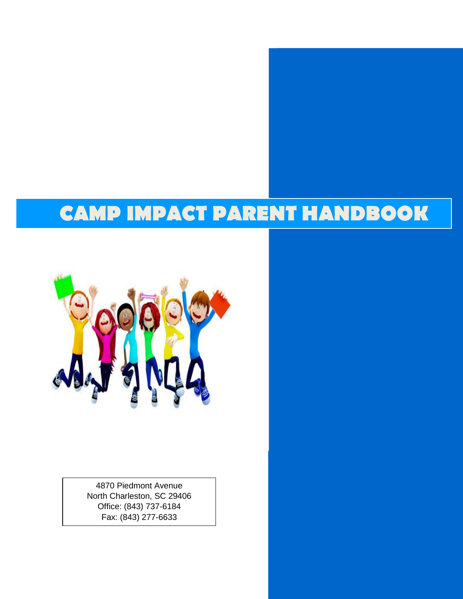# **CAMP IMPACT PARENT HANDBOOK**



4870 Piedmont Avenue North Charleston, SC 29406 Office: (843) 737-6184 Fax: (843) 277-6633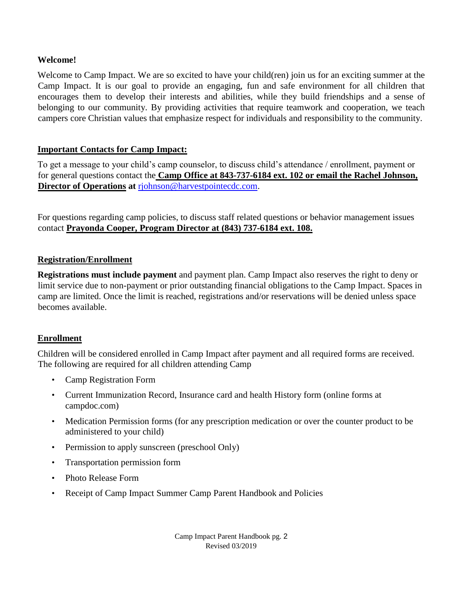## **Welcome!**

Welcome to Camp Impact. We are so excited to have your child(ren) join us for an exciting summer at the Camp Impact. It is our goal to provide an engaging, fun and safe environment for all children that encourages them to develop their interests and abilities, while they build friendships and a sense of belonging to our community. By providing activities that require teamwork and cooperation, we teach campers core Christian values that emphasize respect for individuals and responsibility to the community.

## **Important Contacts for Camp Impact:**

To get a message to your child's camp counselor, to discuss child's attendance / enrollment, payment or for general questions contact the **Camp Office at 843-737-6184 ext. 102 or email the Rachel Johnson, Director of Operations at** rjohnson@harvestpointecdc.com.

For questions regarding camp policies, to discuss staff related questions or behavior management issues contact **Prayonda Cooper, Program Director at (843) 737-6184 ext. 108.**

## **Registration/Enrollment**

**Registrations must include payment** and payment plan. Camp Impact also reserves the right to deny or limit service due to non-payment or prior outstanding financial obligations to the Camp Impact. Spaces in camp are limited. Once the limit is reached, registrations and/or reservations will be denied unless space becomes available.

# **Enrollment**

Children will be considered enrolled in Camp Impact after payment and all required forms are received. The following are required for all children attending Camp

- Camp Registration Form
- Current Immunization Record, Insurance card and health History form (online forms at campdoc.com)
- Medication Permission forms (for any prescription medication or over the counter product to be administered to your child)
- Permission to apply sunscreen (preschool Only)
- Transportation permission form
- Photo Release Form
- Receipt of Camp Impact Summer Camp Parent Handbook and Policies

Camp Impact Parent Handbook pg. 2 Revised 03/2019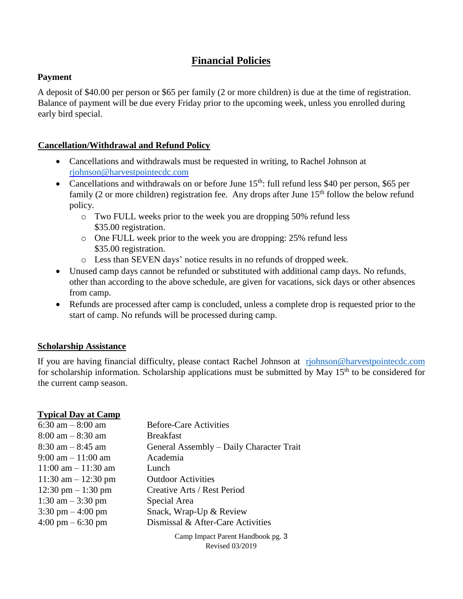# **Financial Policies**

## **Payment**

A deposit of \$40.00 per person or \$65 per family (2 or more children) is due at the time of registration. Balance of payment will be due every Friday prior to the upcoming week, unless you enrolled during early bird special.

# **Cancellation/Withdrawal and Refund Policy**

- Cancellations and withdrawals must be requested in writing, to Rachel Johnson at [rjohnson@harvestpointecdc.com](mailto:rjohnson@harvestpointecdc.com)
- Cancellations and withdrawals on or before June  $15<sup>th</sup>$ : full refund less \$40 per person, \$65 per family (2 or more children) registration fee. Any drops after June  $15<sup>th</sup>$  follow the below refund policy.
	- o Two FULL weeks prior to the week you are dropping 50% refund less \$35.00 registration.
	- o One FULL week prior to the week you are dropping: 25% refund less \$35.00 registration.
	- o Less than SEVEN days' notice results in no refunds of dropped week.
- Unused camp days cannot be refunded or substituted with additional camp days. No refunds, other than according to the above schedule, are given for vacations, sick days or other absences from camp.
- Refunds are processed after camp is concluded, unless a complete drop is requested prior to the start of camp. No refunds will be processed during camp.

# **Scholarship Assistance**

If you are having financial difficulty, please contact Rachel Johnson at [rjohnson@harvestpointecdc.com](mailto:rjohnson@harvestpointecdc.com) for scholarship information. Scholarship applications must be submitted by May 15<sup>th</sup> to be considered for the current camp season.

# **Typical Day at Camp**

| 6:30 am $-8:00$ am                   | <b>Before-Care Activities</b>            |
|--------------------------------------|------------------------------------------|
| $8:00 \text{ am} - 8:30 \text{ am}$  | <b>Breakfast</b>                         |
| $8:30$ am $-8:45$ am                 | General Assembly – Daily Character Trait |
| $9:00 \text{ am} - 11:00 \text{ am}$ | Academia                                 |
| $11:00$ am $-11:30$ am               | Lunch.                                   |
| $11:30$ am $-12:30$ pm               | <b>Outdoor Activities</b>                |
| $12:30 \text{ pm} - 1:30 \text{ pm}$ | Creative Arts / Rest Period              |
| 1:30 am $-$ 3:30 pm                  | Special Area                             |
| $3:30 \text{ pm} - 4:00 \text{ pm}$  | Snack, Wrap-Up & Review                  |
| $4:00 \text{ pm} - 6:30 \text{ pm}$  | Dismissal & After-Care Activities        |
|                                      | Camp Impact Parent Handbook pg. 3        |

Revised 03/2019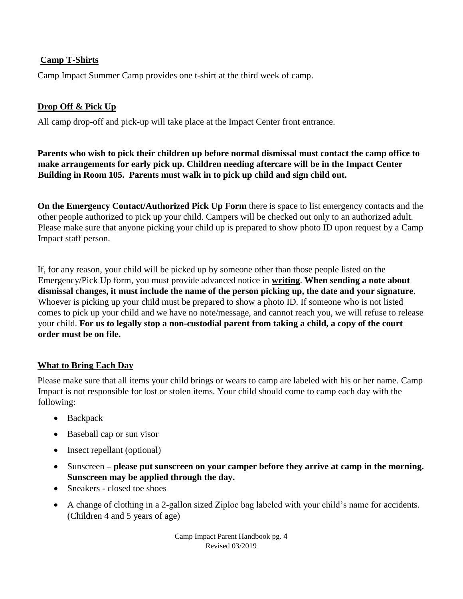# **Camp T-Shirts**

Camp Impact Summer Camp provides one t-shirt at the third week of camp.

# **Drop Off & Pick Up**

All camp drop-off and pick-up will take place at the Impact Center front entrance.

**Parents who wish to pick their children up before normal dismissal must contact the camp office to make arrangements for early pick up. Children needing aftercare will be in the Impact Center Building in Room 105. Parents must walk in to pick up child and sign child out.** 

**On the Emergency Contact/Authorized Pick Up Form** there is space to list emergency contacts and the other people authorized to pick up your child. Campers will be checked out only to an authorized adult. Please make sure that anyone picking your child up is prepared to show photo ID upon request by a Camp Impact staff person.

If, for any reason, your child will be picked up by someone other than those people listed on the Emergency/Pick Up form, you must provide advanced notice in **writing**. **When sending a note about dismissal changes, it must include the name of the person picking up, the date and your signature**. Whoever is picking up your child must be prepared to show a photo ID. If someone who is not listed comes to pick up your child and we have no note/message, and cannot reach you, we will refuse to release your child. **For us to legally stop a non-custodial parent from taking a child, a copy of the court order must be on file.**

# **What to Bring Each Day**

Please make sure that all items your child brings or wears to camp are labeled with his or her name. Camp Impact is not responsible for lost or stolen items. Your child should come to camp each day with the following:

- Backpack
- Baseball cap or sun visor
- Insect repellant (optional)
- Sunscreen **– please put sunscreen on your camper before they arrive at camp in the morning. Sunscreen may be applied through the day.**
- Sneakers closed toe shoes
- A change of clothing in a 2-gallon sized Ziploc bag labeled with your child's name for accidents. (Children 4 and 5 years of age)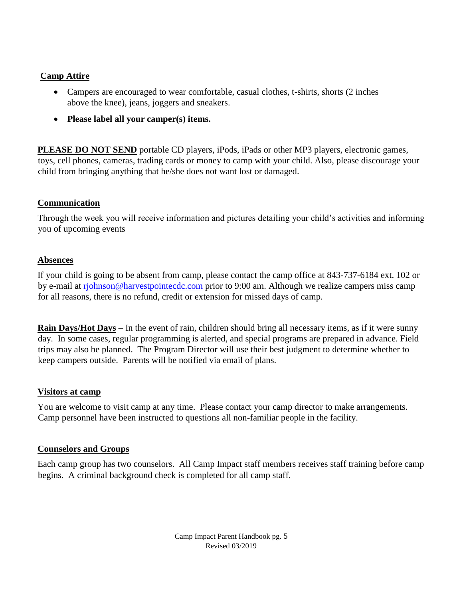## **Camp Attire**

- Campers are encouraged to wear comfortable, casual clothes, t-shirts, shorts (2 inches above the knee), jeans, joggers and sneakers.
- **Please label all your camper(s) items.**

**PLEASE DO NOT SEND** portable CD players, iPods, iPads or other MP3 players, electronic games, toys, cell phones, cameras, trading cards or money to camp with your child. Also, please discourage your child from bringing anything that he/she does not want lost or damaged.

## **Communication**

Through the week you will receive information and pictures detailing your child's activities and informing you of upcoming events

### **Absences**

If your child is going to be absent from camp, please contact the camp office at 843-737-6184 ext. 102 or by e-mail at riohnson@harvestpointecdc.com prior to 9:00 am. Although we realize campers miss camp for all reasons, there is no refund, credit or extension for missed days of camp.

**Rain Days/Hot Days** – In the event of rain, children should bring all necessary items, as if it were sunny day. In some cases, regular programming is alerted, and special programs are prepared in advance. Field trips may also be planned. The Program Director will use their best judgment to determine whether to keep campers outside. Parents will be notified via email of plans.

### **Visitors at camp**

You are welcome to visit camp at any time. Please contact your camp director to make arrangements. Camp personnel have been instructed to questions all non-familiar people in the facility.

### **Counselors and Groups**

Each camp group has two counselors. All Camp Impact staff members receives staff training before camp begins. A criminal background check is completed for all camp staff.

> Camp Impact Parent Handbook pg. 5 Revised 03/2019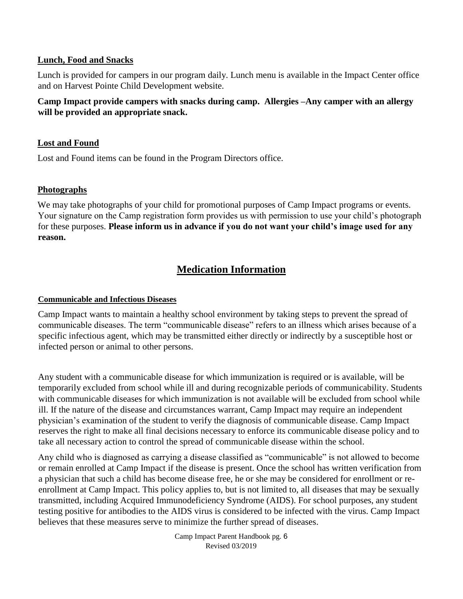#### **Lunch, Food and Snacks**

Lunch is provided for campers in our program daily. Lunch menu is available in the Impact Center office and on Harvest Pointe Child Development website.

## **Camp Impact provide campers with snacks during camp. Allergies –Any camper with an allergy will be provided an appropriate snack.**

### **Lost and Found**

Lost and Found items can be found in the Program Directors office.

### **Photographs**

We may take photographs of your child for promotional purposes of Camp Impact programs or events. Your signature on the Camp registration form provides us with permission to use your child's photograph for these purposes. **Please inform us in advance if you do not want your child's image used for any reason.** 

# **Medication Information**

#### **Communicable and Infectious Diseases**

Camp Impact wants to maintain a healthy school environment by taking steps to prevent the spread of communicable diseases. The term "communicable disease" refers to an illness which arises because of a specific infectious agent, which may be transmitted either directly or indirectly by a susceptible host or infected person or animal to other persons.

Any student with a communicable disease for which immunization is required or is available, will be temporarily excluded from school while ill and during recognizable periods of communicability. Students with communicable diseases for which immunization is not available will be excluded from school while ill. If the nature of the disease and circumstances warrant, Camp Impact may require an independent physician's examination of the student to verify the diagnosis of communicable disease. Camp Impact reserves the right to make all final decisions necessary to enforce its communicable disease policy and to take all necessary action to control the spread of communicable disease within the school.

Any child who is diagnosed as carrying a disease classified as "communicable" is not allowed to become or remain enrolled at Camp Impact if the disease is present. Once the school has written verification from a physician that such a child has become disease free, he or she may be considered for enrollment or reenrollment at Camp Impact. This policy applies to, but is not limited to, all diseases that may be sexually transmitted, including Acquired Immunodeficiency Syndrome (AIDS). For school purposes, any student testing positive for antibodies to the AIDS virus is considered to be infected with the virus. Camp Impact believes that these measures serve to minimize the further spread of diseases.

> Camp Impact Parent Handbook pg. 6 Revised 03/2019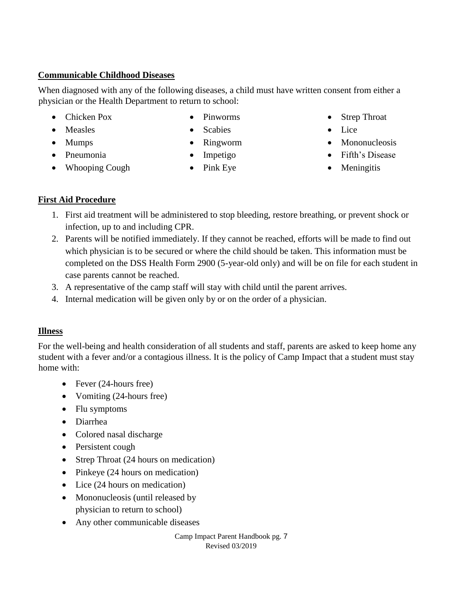# **Communicable Childhood Diseases**

When diagnosed with any of the following diseases, a child must have written consent from either a physician or the Health Department to return to school:

- Chicken Pox
- Measles
- Mumps
- Pinworms
- Scabies
- Ringworm
- Impetigo
	- Pink Eye
- Strep Throat
- Lice
- Mononucleosis
- Fifth's Disease
- Meningitis

# **First Aid Procedure**

• Pneumonia

• Whooping Cough

- 1. First aid treatment will be administered to stop bleeding, restore breathing, or prevent shock or infection, up to and including CPR.
- 2. Parents will be notified immediately. If they cannot be reached, efforts will be made to find out which physician is to be secured or where the child should be taken. This information must be completed on the DSS Health Form 2900 (5-year-old only) and will be on file for each student in case parents cannot be reached.
- 3. A representative of the camp staff will stay with child until the parent arrives.
- 4. Internal medication will be given only by or on the order of a physician.

# **Illness**

For the well-being and health consideration of all students and staff, parents are asked to keep home any student with a fever and/or a contagious illness. It is the policy of Camp Impact that a student must stay home with:

- Fever (24-hours free)
- Vomiting (24-hours free)
- Flu symptoms
- Diarrhea
- Colored nasal discharge
- Persistent cough
- Strep Throat (24 hours on medication)
- Pinkeye (24 hours on medication)
- Lice (24 hours on medication)
- Mononucleosis (until released by physician to return to school)
- Any other communicable diseases

Camp Impact Parent Handbook pg. 7 Revised 03/2019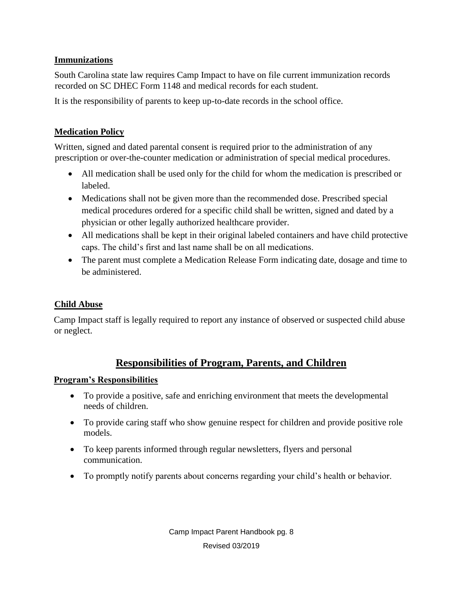## **Immunizations**

South Carolina state law requires Camp Impact to have on file current immunization records recorded on SC DHEC Form 1148 and medical records for each student.

It is the responsibility of parents to keep up-to-date records in the school office.

# **Medication Policy**

Written, signed and dated parental consent is required prior to the administration of any prescription or over-the-counter medication or administration of special medical procedures.

- All medication shall be used only for the child for whom the medication is prescribed or labeled.
- Medications shall not be given more than the recommended dose. Prescribed special medical procedures ordered for a specific child shall be written, signed and dated by a physician or other legally authorized healthcare provider.
- All medications shall be kept in their original labeled containers and have child protective caps. The child's first and last name shall be on all medications.
- The parent must complete a Medication Release Form indicating date, dosage and time to be administered.

## **Child Abuse**

Camp Impact staff is legally required to report any instance of observed or suspected child abuse or neglect.

# **Responsibilities of Program, Parents, and Children**

### **Program's Responsibilities**

- To provide a positive, safe and enriching environment that meets the developmental needs of children.
- To provide caring staff who show genuine respect for children and provide positive role models.
- To keep parents informed through regular newsletters, flyers and personal communication.
- To promptly notify parents about concerns regarding your child's health or behavior.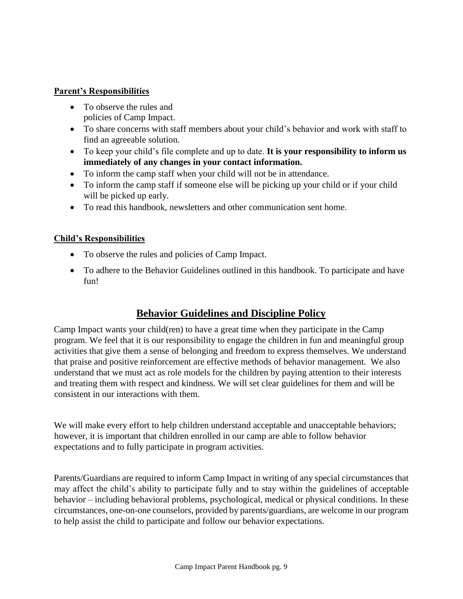#### **Parent's Responsibilities**

- To observe the rules and policies of Camp Impact.
- To share concerns with staff members about your child's behavior and work with staff to find an agreeable solution.
- To keep your child's file complete and up to date. **It is your responsibility to inform us immediately of any changes in your contact information.**
- To inform the camp staff when your child will not be in attendance.
- To inform the camp staff if someone else will be picking up your child or if your child will be picked up early.
- To read this handbook, newsletters and other communication sent home.

## **Child's Responsibilities**

- To observe the rules and policies of Camp Impact.
- To adhere to the Behavior Guidelines outlined in this handbook. To participate and have fun!

# **Behavior Guidelines and Discipline Policy**

Camp Impact wants your child(ren) to have a great time when they participate in the Camp program. We feel that it is our responsibility to engage the children in fun and meaningful group activities that give them a sense of belonging and freedom to express themselves. We understand that praise and positive reinforcement are effective methods of behavior management. We also understand that we must act as role models for the children by paying attention to their interests and treating them with respect and kindness. We will set clear guidelines for them and will be consistent in our interactions with them.

We will make every effort to help children understand acceptable and unacceptable behaviors; however, it is important that children enrolled in our camp are able to follow behavior expectations and to fully participate in program activities.

Parents/Guardians are required to inform Camp Impact in writing of any special circumstances that may affect the child's ability to participate fully and to stay within the guidelines of acceptable behavior – including behavioral problems, psychological, medical or physical conditions. In these circumstances, one-on-one counselors, provided by parents/guardians, are welcome in our program to help assist the child to participate and follow our behavior expectations.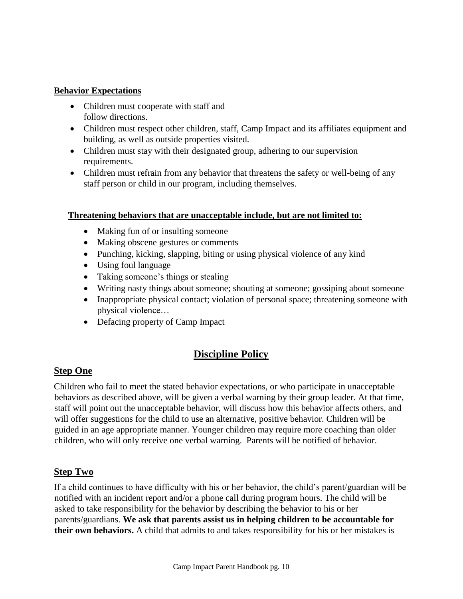#### **Behavior Expectations**

- Children must cooperate with staff and follow directions.
- Children must respect other children, staff, Camp Impact and its affiliates equipment and building, as well as outside properties visited.
- Children must stay with their designated group, adhering to our supervision requirements.
- Children must refrain from any behavior that threatens the safety or well-being of any staff person or child in our program, including themselves.

### **Threatening behaviors that are unacceptable include, but are not limited to:**

- Making fun of or insulting someone
- Making obscene gestures or comments
- Punching, kicking, slapping, biting or using physical violence of any kind
- Using foul language
- Taking someone's things or stealing
- Writing nasty things about someone; shouting at someone; gossiping about someone
- Inappropriate physical contact; violation of personal space; threatening someone with physical violence…
- Defacing property of Camp Impact

# **Discipline Policy**

# **Step One**

Children who fail to meet the stated behavior expectations, or who participate in unacceptable behaviors as described above, will be given a verbal warning by their group leader. At that time, staff will point out the unacceptable behavior, will discuss how this behavior affects others, and will offer suggestions for the child to use an alternative, positive behavior. Children will be guided in an age appropriate manner. Younger children may require more coaching than older children, who will only receive one verbal warning. Parents will be notified of behavior.

# **Step Two**

If a child continues to have difficulty with his or her behavior, the child's parent/guardian will be notified with an incident report and/or a phone call during program hours. The child will be asked to take responsibility for the behavior by describing the behavior to his or her parents/guardians. **We ask that parents assist us in helping children to be accountable for their own behaviors.** A child that admits to and takes responsibility for his or her mistakes is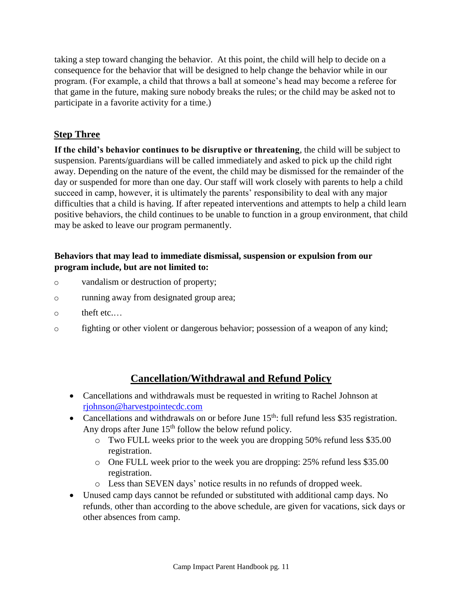taking a step toward changing the behavior. At this point, the child will help to decide on a consequence for the behavior that will be designed to help change the behavior while in our program. (For example, a child that throws a ball at someone's head may become a referee for that game in the future, making sure nobody breaks the rules; or the child may be asked not to participate in a favorite activity for a time.)

# **Step Three**

**If the child's behavior continues to be disruptive or threatening**, the child will be subject to suspension. Parents/guardians will be called immediately and asked to pick up the child right away. Depending on the nature of the event, the child may be dismissed for the remainder of the day or suspended for more than one day. Our staff will work closely with parents to help a child succeed in camp, however, it is ultimately the parents' responsibility to deal with any major difficulties that a child is having. If after repeated interventions and attempts to help a child learn positive behaviors, the child continues to be unable to function in a group environment, that child may be asked to leave our program permanently.

## **Behaviors that may lead to immediate dismissal, suspension or expulsion from our program include, but are not limited to:**

- o vandalism or destruction of property;
- o running away from designated group area;
- o theft etc.…
- o fighting or other violent or dangerous behavior; possession of a weapon of any kind;

# **Cancellation/Withdrawal and Refund Policy**

- Cancellations and withdrawals must be requested in writing to Rachel Johnson at rjohnson@harvestpointecdc.com
- Cancellations and withdrawals on or before June  $15<sup>th</sup>$ : full refund less \$35 registration. Any drops after June  $15<sup>th</sup>$  follow the below refund policy.
	- o Two FULL weeks prior to the week you are dropping 50% refund less \$35.00 registration.
	- o One FULL week prior to the week you are dropping: 25% refund less \$35.00 registration.
	- o Less than SEVEN days' notice results in no refunds of dropped week.
- Unused camp days cannot be refunded or substituted with additional camp days. No refunds, other than according to the above schedule, are given for vacations, sick days or other absences from camp.